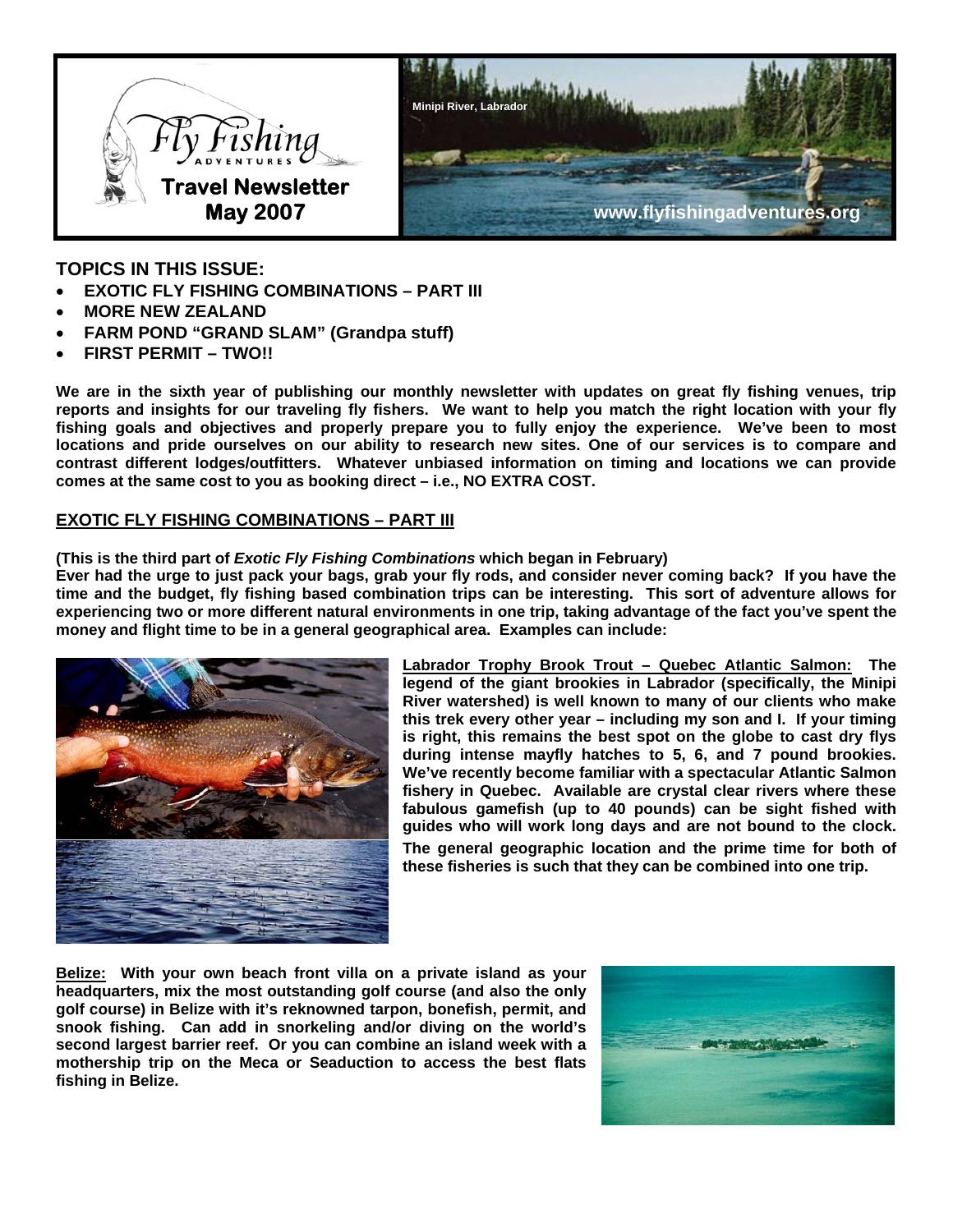

**TOPICS IN THIS ISSUE:** 

- **EXOTIC FLY FISHING COMBINATIONS PART III**
- **MORE NEW ZEALAND**
- **FARM POND "GRAND SLAM" (Grandpa stuff)**
- **FIRST PERMIT TWO!!**

**We are in the sixth year of publishing our monthly newsletter with updates on great fly fishing venues, trip reports and insights for our traveling fly fishers. We want to help you match the right location with your fly fishing goals and objectives and properly prepare you to fully enjoy the experience. We've been to most locations and pride ourselves on our ability to research new sites. One of our services is to compare and contrast different lodges/outfitters. Whatever unbiased information on timing and locations we can provide comes at the same cost to you as booking direct – i.e., NO EXTRA COST.** 

# **EXOTIC FLY FISHING COMBINATIONS – PART III**

#### **(This is the third part of** *Exotic Fly Fishing Combinations* **which began in February)**

**Ever had the urge to just pack your bags, grab your fly rods, and consider never coming back? If you have the time and the budget, fly fishing based combination trips can be interesting. This sort of adventure allows for experiencing two or more different natural environments in one trip, taking advantage of the fact you've spent the money and flight time to be in a general geographical area. Examples can include:** 



**Labrador Trophy Brook Trout – Quebec Atlantic Salmon: The legend of the giant brookies in Labrador (specifically, the Minipi River watershed) is well known to many of our clients who make this trek every other year – including my son and I. If your timing is right, this remains the best spot on the globe to cast dry flys during intense mayfly hatches to 5, 6, and 7 pound brookies. We've recently become familiar with a spectacular Atlantic Salmon fishery in Quebec. Available are crystal clear rivers where these fabulous gamefish (up to 40 pounds) can be sight fished with guides who will work long days and are not bound to the clock. The general geographic location and the prime time for both of these fisheries is such that they can be combined into one trip.** 

**Belize: With your own beach front villa on a private island as your headquarters, mix the most outstanding golf course (and also the only golf course) in Belize with it's reknowned tarpon, bonefish, permit, and snook fishing. Can add in snorkeling and/or diving on the world's second largest barrier reef. Or you can combine an island week with a mothership trip on the Meca or Seaduction to access the best flats fishing in Belize.** 

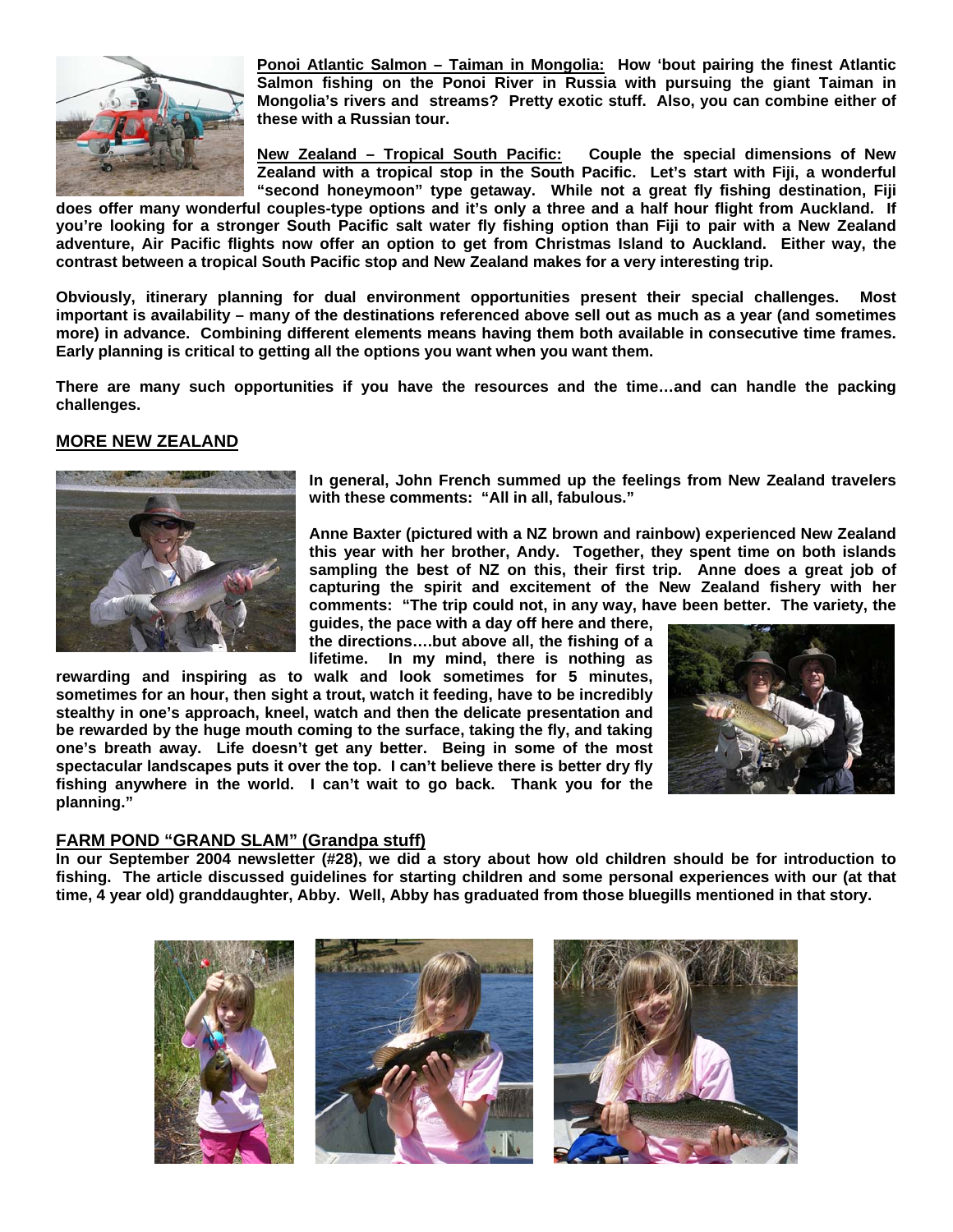

**Ponoi Atlantic Salmon – Taiman in Mongolia: How 'bout pairing the finest Atlantic Salmon fishing on the Ponoi River in Russia with pursuing the giant Taiman in Mongolia's rivers and streams? Pretty exotic stuff. Also, you can combine either of these with a Russian tour.** 

**New Zealand – Tropical South Pacific: Couple the special dimensions of New Zealand with a tropical stop in the South Pacific. Let's start with Fiji, a wonderful "second honeymoon" type getaway. While not a great fly fishing destination, Fiji** 

**does offer many wonderful couples-type options and it's only a three and a half hour flight from Auckland. If you're looking for a stronger South Pacific salt water fly fishing option than Fiji to pair with a New Zealand adventure, Air Pacific flights now offer an option to get from Christmas Island to Auckland. Either way, the contrast between a tropical South Pacific stop and New Zealand makes for a very interesting trip.** 

**Obviously, itinerary planning for dual environment opportunities present their special challenges. Most important is availability – many of the destinations referenced above sell out as much as a year (and sometimes more) in advance. Combining different elements means having them both available in consecutive time frames. Early planning is critical to getting all the options you want when you want them.** 

**There are many such opportunities if you have the resources and the time…and can handle the packing challenges.** 

## **MORE NEW ZEALAND**



**In general, John French summed up the feelings from New Zealand travelers with these comments: "All in all, fabulous."** 

**Anne Baxter (pictured with a NZ brown and rainbow) experienced New Zealand this year with her brother, Andy. Together, they spent time on both islands sampling the best of NZ on this, their first trip. Anne does a great job of capturing the spirit and excitement of the New Zealand fishery with her comments: "The trip could not, in any way, have been better. The variety, the** 

**guides, the pace with a day off here and there, the directions….but above all, the fishing of a lifetime. In my mind, there is nothing as** 

**rewarding and inspiring as to walk and look sometimes for 5 minutes, sometimes for an hour, then sight a trout, watch it feeding, have to be incredibly stealthy in one's approach, kneel, watch and then the delicate presentation and be rewarded by the huge mouth coming to the surface, taking the fly, and taking one's breath away. Life doesn't get any better. Being in some of the most spectacular landscapes puts it over the top. I can't believe there is better dry fly fishing anywhere in the world. I can't wait to go back. Thank you for the planning."** 



### **FARM POND "GRAND SLAM" (Grandpa stuff)**

**In our September 2004 newsletter (#28), we did a story about how old children should be for introduction to fishing. The article discussed guidelines for starting children and some personal experiences with our (at that time, 4 year old) granddaughter, Abby. Well, Abby has graduated from those bluegills mentioned in that story.**